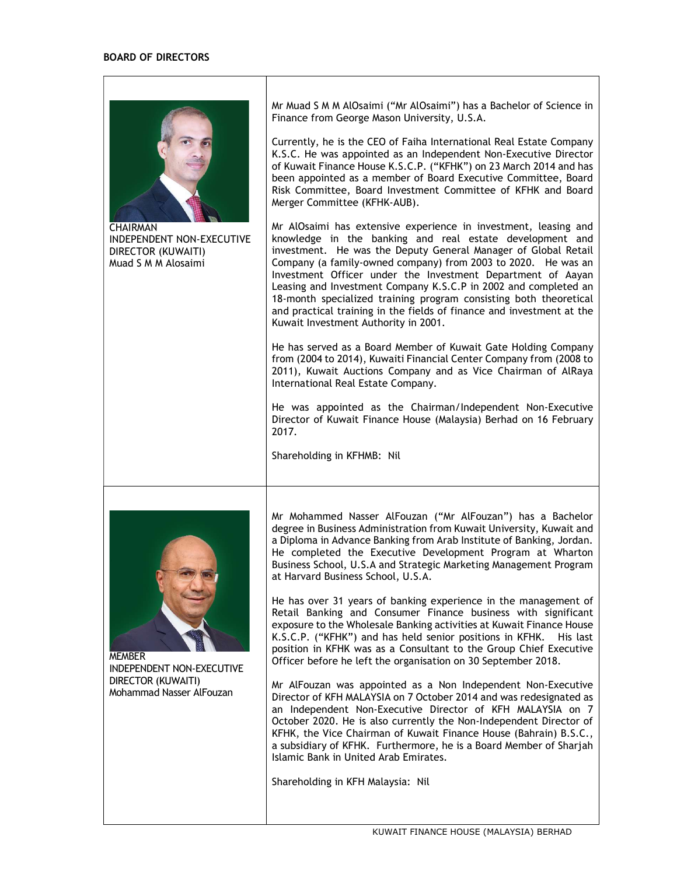

**CHAIRMAN** INDEPENDENT NON-EXECUTIVE DIRECTOR (KUWAITI) Muad S M M Alosaimi

Mr Muad S M M AlOsaimi ("Mr AlOsaimi") has a Bachelor of Science in Finance from George Mason University, U.S.A.

Currently, he is the CEO of Faiha International Real Estate Company K.S.C. He was appointed as an Independent Non-Executive Director of Kuwait Finance House K.S.C.P. ("KFHK") on 23 March 2014 and has been appointed as a member of Board Executive Committee, Board Risk Committee, Board Investment Committee of KFHK and Board Merger Committee (KFHK-AUB).

Mr AlOsaimi has extensive experience in investment, leasing and knowledge in the banking and real estate development and investment. He was the Deputy General Manager of Global Retail Company (a family-owned company) from 2003 to 2020. He was an Investment Officer under the Investment Department of Aayan Leasing and Investment Company K.S.C.P in 2002 and completed an 18-month specialized training program consisting both theoretical and practical training in the fields of finance and investment at the Kuwait Investment Authority in 2001.

He has served as a Board Member of Kuwait Gate Holding Company from (2004 to 2014), Kuwaiti Financial Center Company from (2008 to 2011), Kuwait Auctions Company and as Vice Chairman of AlRaya International Real Estate Company.

He was appointed as the Chairman/Independent Non-Executive Director of Kuwait Finance House (Malaysia) Berhad on 16 February 2017.

Shareholding in KFHMB: Nil



MEMBER INDEPENDENT NON-EXECUTIVE DIRECTOR (KUWAITI) Mohammad Nasser AlFouzan

Mr Mohammed Nasser AlFouzan ("Mr AlFouzan") has a Bachelor degree in Business Administration from Kuwait University, Kuwait and a Diploma in Advance Banking from Arab Institute of Banking, Jordan. He completed the Executive Development Program at Wharton Business School, U.S.A and Strategic Marketing Management Program at Harvard Business School, U.S.A.

He has over 31 years of banking experience in the management of Retail Banking and Consumer Finance business with significant exposure to the Wholesale Banking activities at Kuwait Finance House K.S.C.P. ("KFHK") and has held senior positions in KFHK. His last position in KFHK was as a Consultant to the Group Chief Executive Officer before he left the organisation on 30 September 2018.

Mr AlFouzan was appointed as a Non Independent Non-Executive Director of KFH MALAYSIA on 7 October 2014 and was redesignated as an Independent Non-Executive Director of KFH MALAYSIA on 7 October 2020. He is also currently the Non-Independent Director of KFHK, the Vice Chairman of Kuwait Finance House (Bahrain) B.S.C., a subsidiary of KFHK. Furthermore, he is a Board Member of Sharjah Islamic Bank in United Arab Emirates.

Shareholding in KFH Malaysia: Nil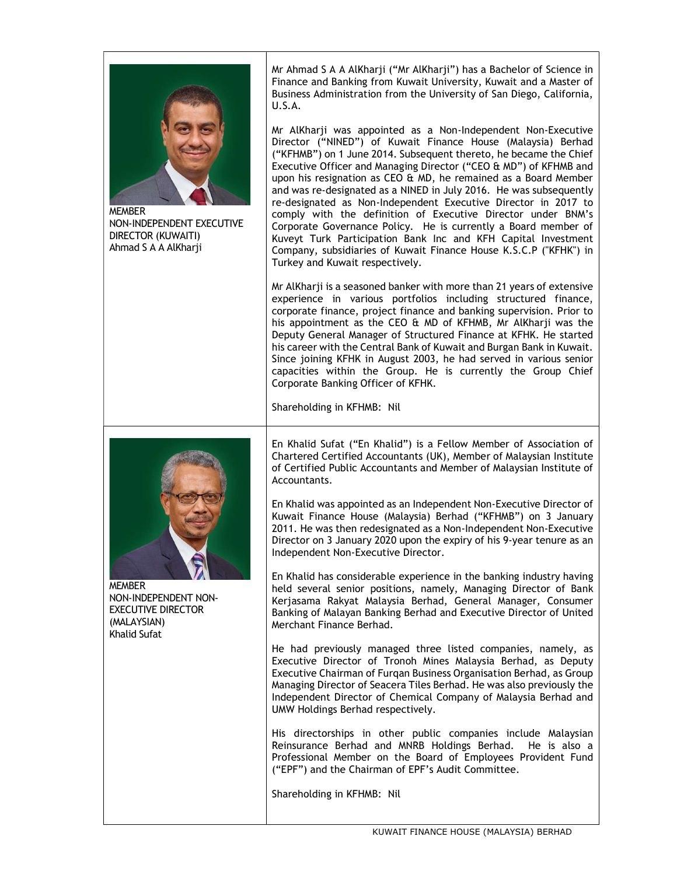

MEMBER NON-INDEPENDENT EXECUTIVE DIRECTOR (KUWAITI) Ahmad S A A AlKharji

Mr Ahmad S A A AlKharji ("Mr AlKharji") has a Bachelor of Science in Finance and Banking from Kuwait University, Kuwait and a Master of Business Administration from the University of San Diego, California, U.S.A.

Mr AlKharji was appointed as a Non-Independent Non-Executive Director ("NINED") of Kuwait Finance House (Malaysia) Berhad ("KFHMB") on 1 June 2014. Subsequent thereto, he became the Chief Executive Officer and Managing Director ("CEO & MD") of KFHMB and upon his resignation as CEO & MD, he remained as a Board Member and was re-designated as a NINED in July 2016. He was subsequently re-designated as Non-Independent Executive Director in 2017 to comply with the definition of Executive Director under BNM's Corporate Governance Policy. He is currently a Board member of Kuveyt Turk Participation Bank Inc and KFH Capital Investment Company, subsidiaries of Kuwait Finance House K.S.C.P ("KFHK") in Turkey and Kuwait respectively.

Mr AlKharji is a seasoned banker with more than 21 years of extensive experience in various portfolios including structured finance, corporate finance, project finance and banking supervision. Prior to his appointment as the CEO & MD of KFHMB, Mr AlKharji was the Deputy General Manager of Structured Finance at KFHK. He started his career with the Central Bank of Kuwait and Burgan Bank in Kuwait. Since joining KFHK in August 2003, he had served in various senior capacities within the Group. He is currently the Group Chief Corporate Banking Officer of KFHK.

Shareholding in KFHMB: Nil



MEMBER NON-INDEPENDENT NON-EXECUTIVE DIRECTOR (MALAYSIAN) Khalid Sufat

En Khalid Sufat ("En Khalid") is a Fellow Member of Association of Chartered Certified Accountants (UK), Member of Malaysian Institute of Certified Public Accountants and Member of Malaysian Institute of Accountants.

En Khalid was appointed as an Independent Non-Executive Director of Kuwait Finance House (Malaysia) Berhad ("KFHMB") on 3 January 2011. He was then redesignated as a Non-Independent Non-Executive Director on 3 January 2020 upon the expiry of his 9-year tenure as an Independent Non-Executive Director.

En Khalid has considerable experience in the banking industry having held several senior positions, namely, Managing Director of Bank Kerjasama Rakyat Malaysia Berhad, General Manager, Consumer Banking of Malayan Banking Berhad and Executive Director of United Merchant Finance Berhad.

He had previously managed three listed companies, namely, as Executive Director of Tronoh Mines Malaysia Berhad, as Deputy Executive Chairman of Furqan Business Organisation Berhad, as Group Managing Director of Seacera Tiles Berhad. He was also previously the Independent Director of Chemical Company of Malaysia Berhad and UMW Holdings Berhad respectively.

His directorships in other public companies include Malaysian Reinsurance Berhad and MNRB Holdings Berhad. He is also a Professional Member on the Board of Employees Provident Fund ("EPF") and the Chairman of EPF's Audit Committee.

Shareholding in KFHMB: Nil